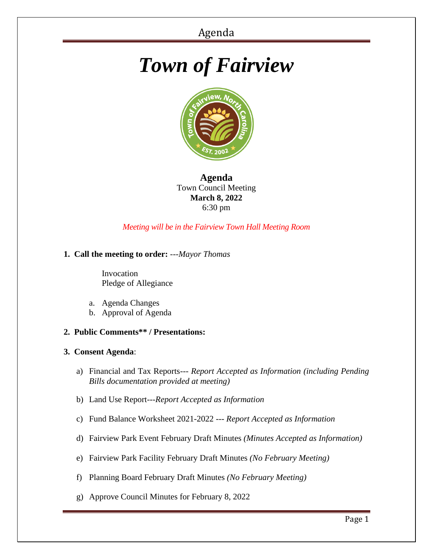# *Town of Fairview*



**Agenda** Town Council Meeting **March 8, 2022** 6:30 pm

*Meeting will be in the Fairview Town Hall Meeting Room*

## **1. Call the meeting to order:** *---Mayor Thomas*

 Invocation Pledge of Allegiance

- a. Agenda Changes
- b. Approval of Agenda
- **2. Public Comments\*\* / Presentations:**

## **3. Consent Agenda**:

- a) Financial and Tax Reports--- *Report Accepted as Information (including Pending Bills documentation provided at meeting)*
- b) Land Use Report---*Report Accepted as Information*
- c) Fund Balance Worksheet 2021-2022 --- *Report Accepted as Information*
- d) Fairview Park Event February Draft Minutes *(Minutes Accepted as Information)*
- e) Fairview Park Facility February Draft Minutes *(No February Meeting)*
- f) Planning Board February Draft Minutes *(No February Meeting)*
- g) Approve Council Minutes for February 8, 2022